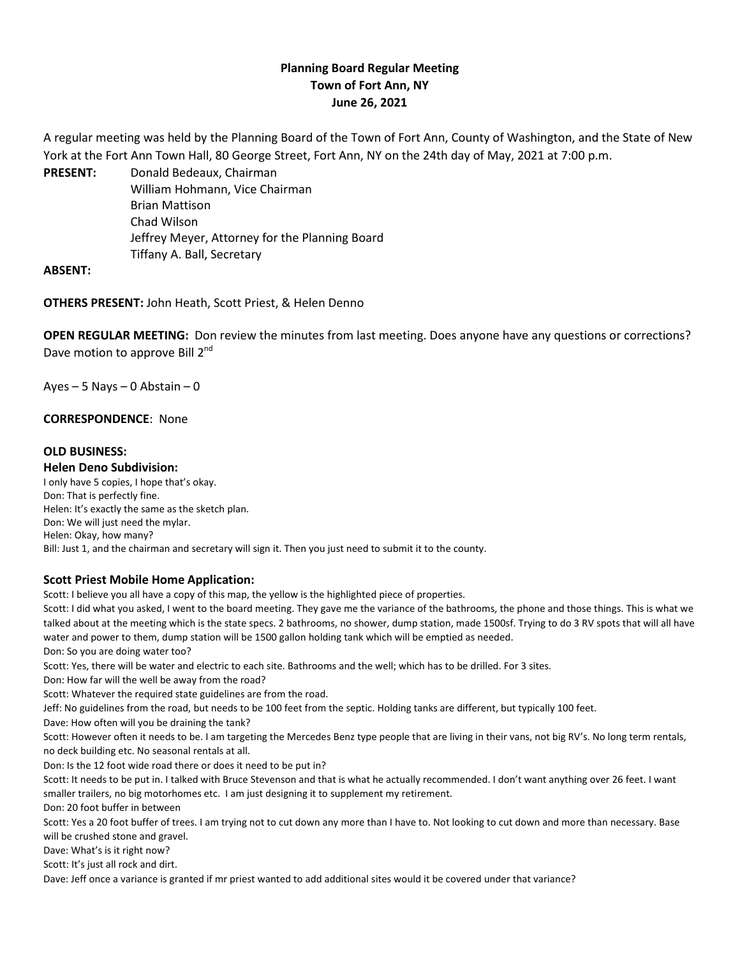# **Planning Board Regular Meeting Town of Fort Ann, NY June 26, 2021**

A regular meeting was held by the Planning Board of the Town of Fort Ann, County of Washington, and the State of New York at the Fort Ann Town Hall, 80 George Street, Fort Ann, NY on the 24th day of May, 2021 at 7:00 p.m.

**PRESENT:** Donald Bedeaux, Chairman William Hohmann, Vice Chairman Brian Mattison Chad Wilson Jeffrey Meyer, Attorney for the Planning Board Tiffany A. Ball, Secretary

### **ABSENT:**

**OTHERS PRESENT:** John Heath, Scott Priest, & Helen Denno

**OPEN REGULAR MEETING:** Don review the minutes from last meeting. Does anyone have any questions or corrections? Dave motion to approve Bill 2<sup>nd</sup>

 $Ayes - 5$  Nays – 0 Abstain – 0

### **CORRESPONDENCE**: None

### **OLD BUSINESS:**

**Helen Deno Subdivision:** 

I only have 5 copies, I hope that's okay. Don: That is perfectly fine. Helen: It's exactly the same as the sketch plan. Don: We will just need the mylar. Helen: Okay, how many? Bill: Just 1, and the chairman and secretary will sign it. Then you just need to submit it to the county.

#### **Scott Priest Mobile Home Application:**

Scott: I believe you all have a copy of this map, the yellow is the highlighted piece of properties.

Scott: I did what you asked, I went to the board meeting. They gave me the variance of the bathrooms, the phone and those things. This is what we talked about at the meeting which is the state specs. 2 bathrooms, no shower, dump station, made 1500sf. Trying to do 3 RV spots that will all have water and power to them, dump station will be 1500 gallon holding tank which will be emptied as needed.

Don: So you are doing water too?

Scott: Yes, there will be water and electric to each site. Bathrooms and the well; which has to be drilled. For 3 sites.

Don: How far will the well be away from the road?

Scott: Whatever the required state guidelines are from the road.

Jeff: No guidelines from the road, but needs to be 100 feet from the septic. Holding tanks are different, but typically 100 feet.

Dave: How often will you be draining the tank?

Scott: However often it needs to be. I am targeting the Mercedes Benz type people that are living in their vans, not big RV's. No long term rentals, no deck building etc. No seasonal rentals at all.

Don: Is the 12 foot wide road there or does it need to be put in?

Scott: It needs to be put in. I talked with Bruce Stevenson and that is what he actually recommended. I don't want anything over 26 feet. I want smaller trailers, no big motorhomes etc. I am just designing it to supplement my retirement.

Don: 20 foot buffer in between

Scott: Yes a 20 foot buffer of trees. I am trying not to cut down any more than I have to. Not looking to cut down and more than necessary. Base will be crushed stone and gravel.

Dave: What's is it right now?

Scott: It's just all rock and dirt.

Dave: Jeff once a variance is granted if mr priest wanted to add additional sites would it be covered under that variance?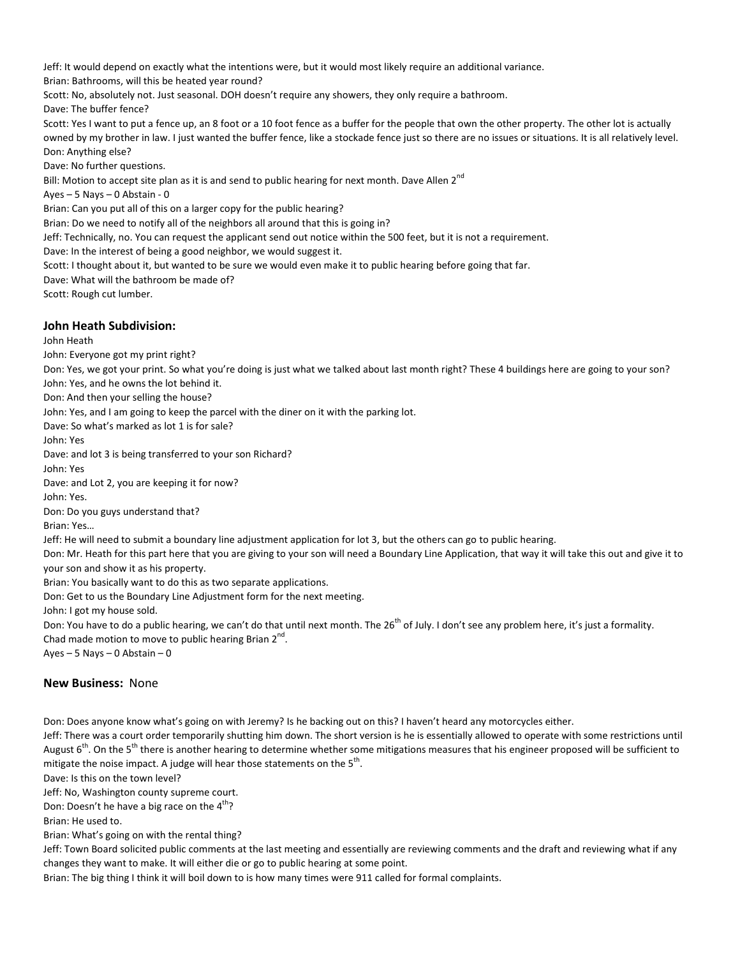Jeff: It would depend on exactly what the intentions were, but it would most likely require an additional variance.

Brian: Bathrooms, will this be heated year round?

Scott: No, absolutely not. Just seasonal. DOH doesn't require any showers, they only require a bathroom.

Dave: The buffer fence?

Scott: Yes I want to put a fence up, an 8 foot or a 10 foot fence as a buffer for the people that own the other property. The other lot is actually owned by my brother in law. I just wanted the buffer fence, like a stockade fence just so there are no issues or situations. It is all relatively level. Don: Anything else?

Dave: No further questions.

Bill: Motion to accept site plan as it is and send to public hearing for next month. Dave Allen 2<sup>nd</sup>

Ayes – 5 Nays – 0 Abstain - 0

Brian: Can you put all of this on a larger copy for the public hearing?

Brian: Do we need to notify all of the neighbors all around that this is going in?

Jeff: Technically, no. You can request the applicant send out notice within the 500 feet, but it is not a requirement.

Dave: In the interest of being a good neighbor, we would suggest it.

Scott: I thought about it, but wanted to be sure we would even make it to public hearing before going that far.

Dave: What will the bathroom be made of?

Scott: Rough cut lumber.

### **John Heath Subdivision:**

John Heath

John: Everyone got my print right?

Don: Yes, we got your print. So what you're doing is just what we talked about last month right? These 4 buildings here are going to your son? John: Yes, and he owns the lot behind it.

Don: And then your selling the house?

John: Yes, and I am going to keep the parcel with the diner on it with the parking lot.

Dave: So what's marked as lot 1 is for sale?

John: Yes

Dave: and lot 3 is being transferred to your son Richard?

John: Yes

Dave: and Lot 2, you are keeping it for now?

John: Yes.

Don: Do you guys understand that?

Brian: Yes…

Jeff: He will need to submit a boundary line adjustment application for lot 3, but the others can go to public hearing.

Don: Mr. Heath for this part here that you are giving to your son will need a Boundary Line Application, that way it will take this out and give it to your son and show it as his property.

Brian: You basically want to do this as two separate applications.

Don: Get to us the Boundary Line Adjustment form for the next meeting.

John: I got my house sold.

Don: You have to do a public hearing, we can't do that until next month. The 26<sup>th</sup> of July. I don't see any problem here, it's just a formality. Chad made motion to move to public hearing Brian  $2^{nd}$ .

Ayes  $-5$  Nays  $-0$  Abstain  $-0$ 

## **New Business:** None

Don: Does anyone know what's going on with Jeremy? Is he backing out on this? I haven't heard any motorcycles either.

Jeff: There was a court order temporarily shutting him down. The short version is he is essentially allowed to operate with some restrictions until August 6<sup>th</sup>. On the 5<sup>th</sup> there is another hearing to determine whether some mitigations measures that his engineer proposed will be sufficient to mitigate the noise impact. A judge will hear those statements on the 5<sup>th</sup>.

Dave: Is this on the town level?

Jeff: No, Washington county supreme court.

Don: Doesn't he have a big race on the  $4<sup>tn</sup>$ ?

Brian: He used to.

Brian: What's going on with the rental thing?

Jeff: Town Board solicited public comments at the last meeting and essentially are reviewing comments and the draft and reviewing what if any changes they want to make. It will either die or go to public hearing at some point.

Brian: The big thing I think it will boil down to is how many times were 911 called for formal complaints.